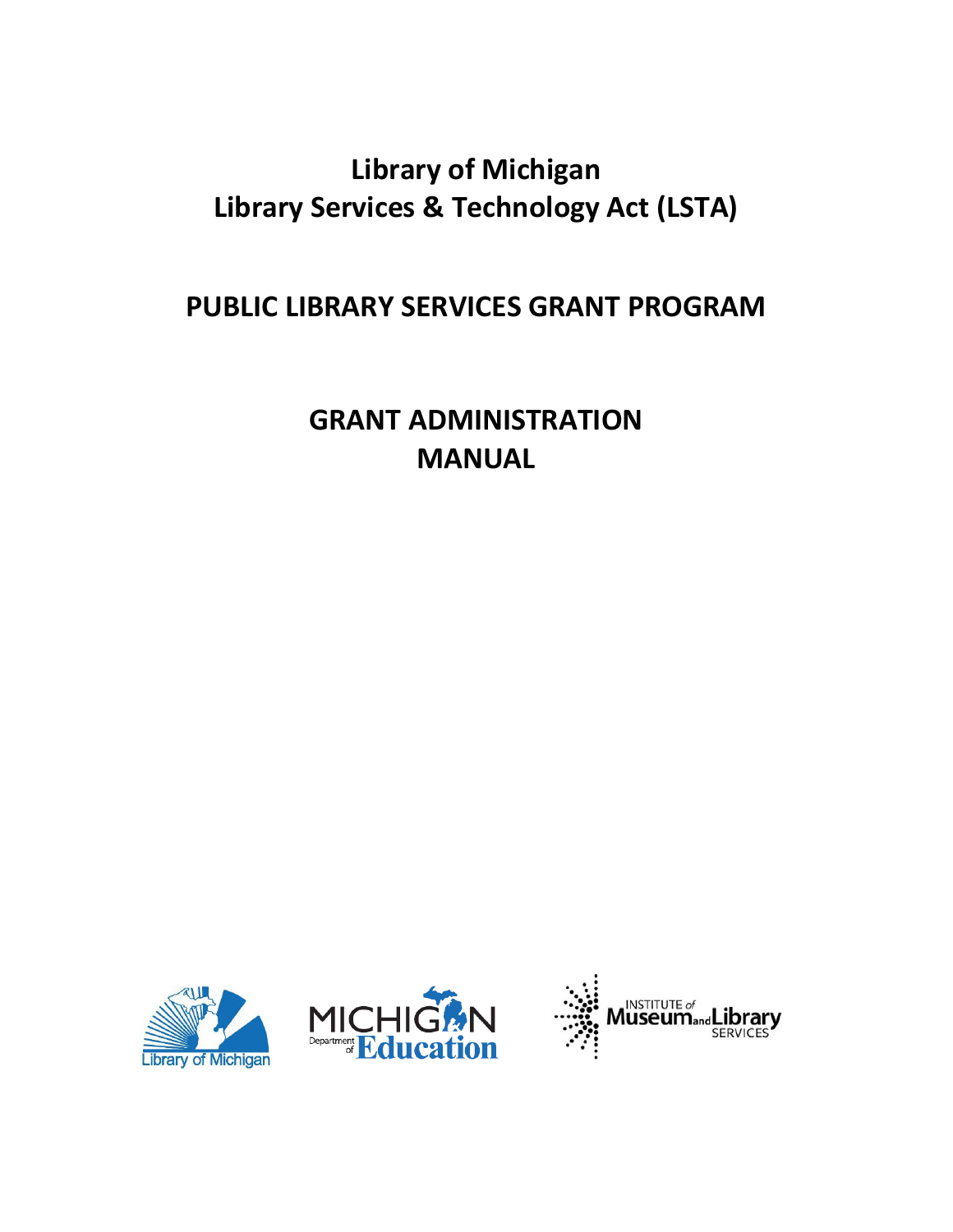# **Library of Michigan Library Services & Technology Act (LSTA)**

# **PUBLIC LIBRARY SERVICES GRANT PROGRAM**

**GRANT ADMINISTRATION MANUAL** 





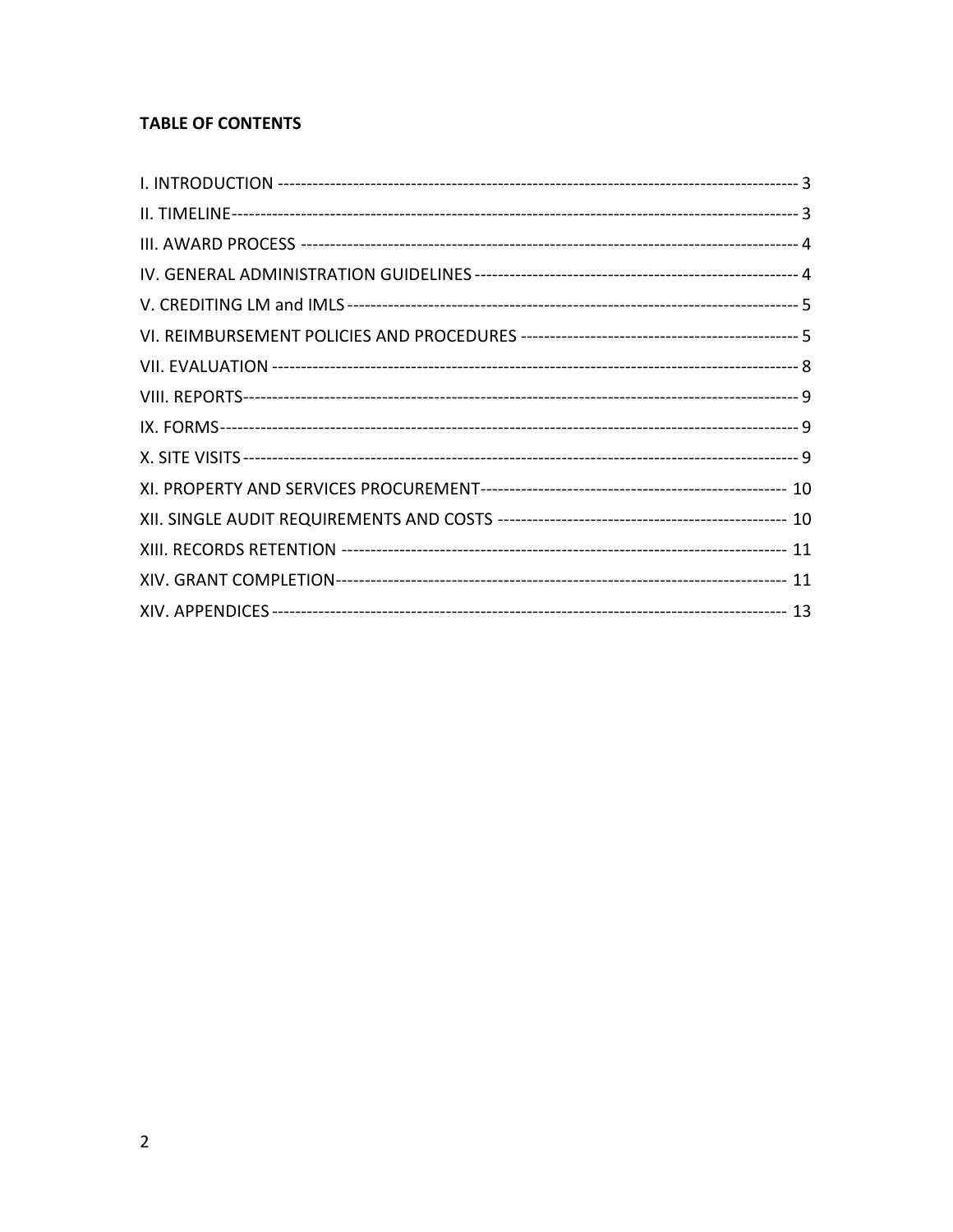# **TABLE OF CONTENTS**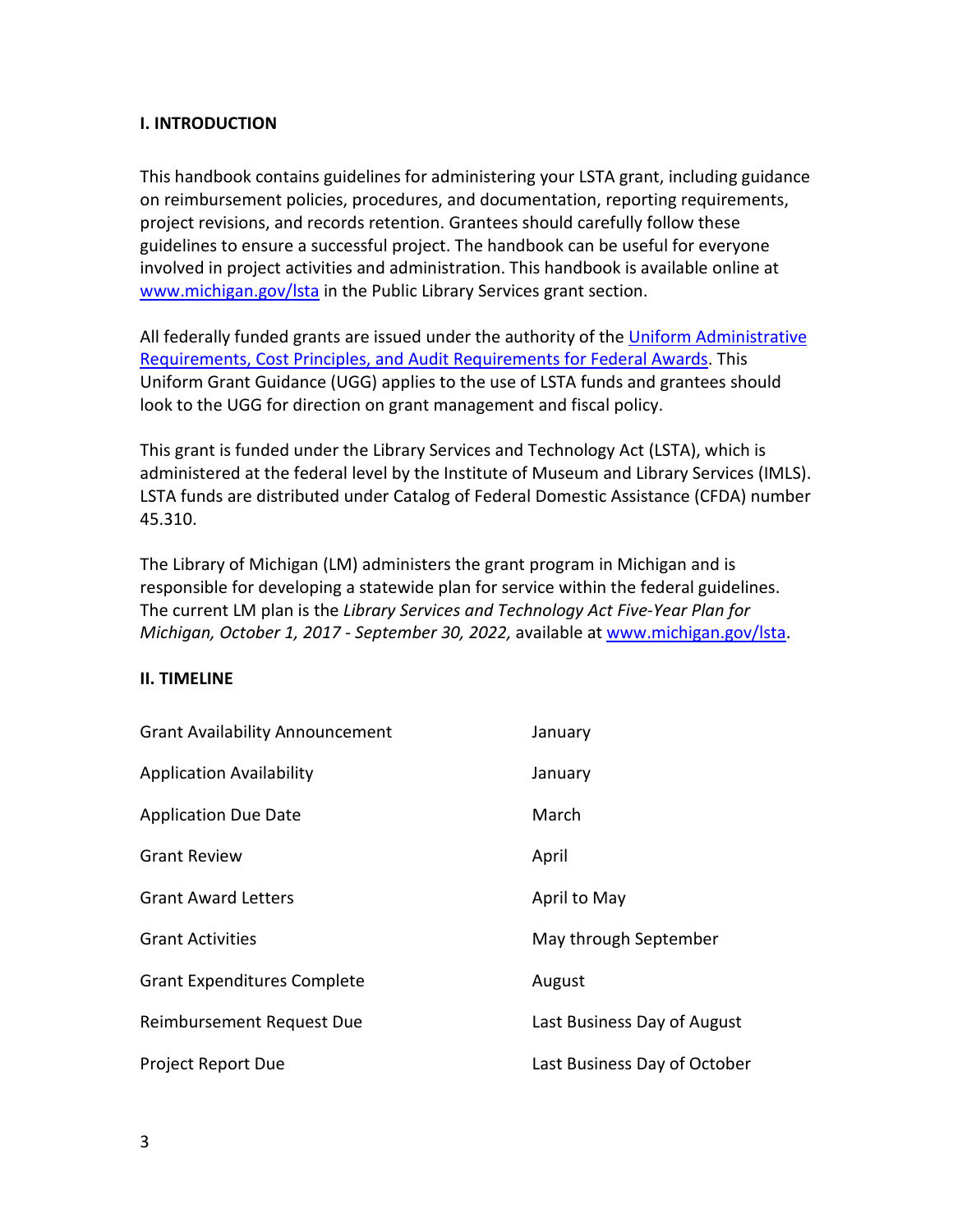# **I. INTRODUCTION**

This handbook contains guidelines for administering your LSTA grant, including guidance on reimbursement policies, procedures, and documentation, reporting requirements, project revisions, and records retention. Grantees should carefully follow these guidelines to ensure a successful project. The handbook can be useful for everyone involved in project activities and administration. This handbook is available online at [www.michigan.gov/lsta](http://www.michigan.gov/lsta) in the Public Library Services grant section.

All federally funded grants are issued under the authority of the [Uniform Administrative](https://www.federalregister.gov/articles/2013/12/26/2013-30465/uniform-administrative-requirements-cost-principles-and-audit-requirements-for-federal-awards#sec-200-33)  [Requirements, Cost Principles, and Audit Requirements for Federal Awards.](https://www.federalregister.gov/articles/2013/12/26/2013-30465/uniform-administrative-requirements-cost-principles-and-audit-requirements-for-federal-awards#sec-200-33) This Uniform Grant Guidance (UGG) applies to the use of LSTA funds and grantees should look to the UGG for direction on grant management and fiscal policy.

This grant is funded under the Library Services and Technology Act (LSTA), which is administered at the federal level by the Institute of Museum and Library Services (IMLS). LSTA funds are distributed under Catalog of Federal Domestic Assistance (CFDA) number 45.310.

The Library of Michigan (LM) administers the grant program in Michigan and is responsible for developing a statewide plan for service within the federal guidelines. The current LM plan is the *Library Services and Technology Act Five-Year Plan for Michigan, October 1, 2017 - September 30, 2022,* available a[t www.michigan.gov/lsta.](http://www.michigan.gov/lsta)

## **II. TIMELINE**

| <b>Grant Availability Announcement</b> | January                      |
|----------------------------------------|------------------------------|
| <b>Application Availability</b>        | January                      |
| <b>Application Due Date</b>            | March                        |
| <b>Grant Review</b>                    | April                        |
| <b>Grant Award Letters</b>             | April to May                 |
| <b>Grant Activities</b>                | May through September        |
| <b>Grant Expenditures Complete</b>     | August                       |
| Reimbursement Request Due              | Last Business Day of August  |
| <b>Project Report Due</b>              | Last Business Day of October |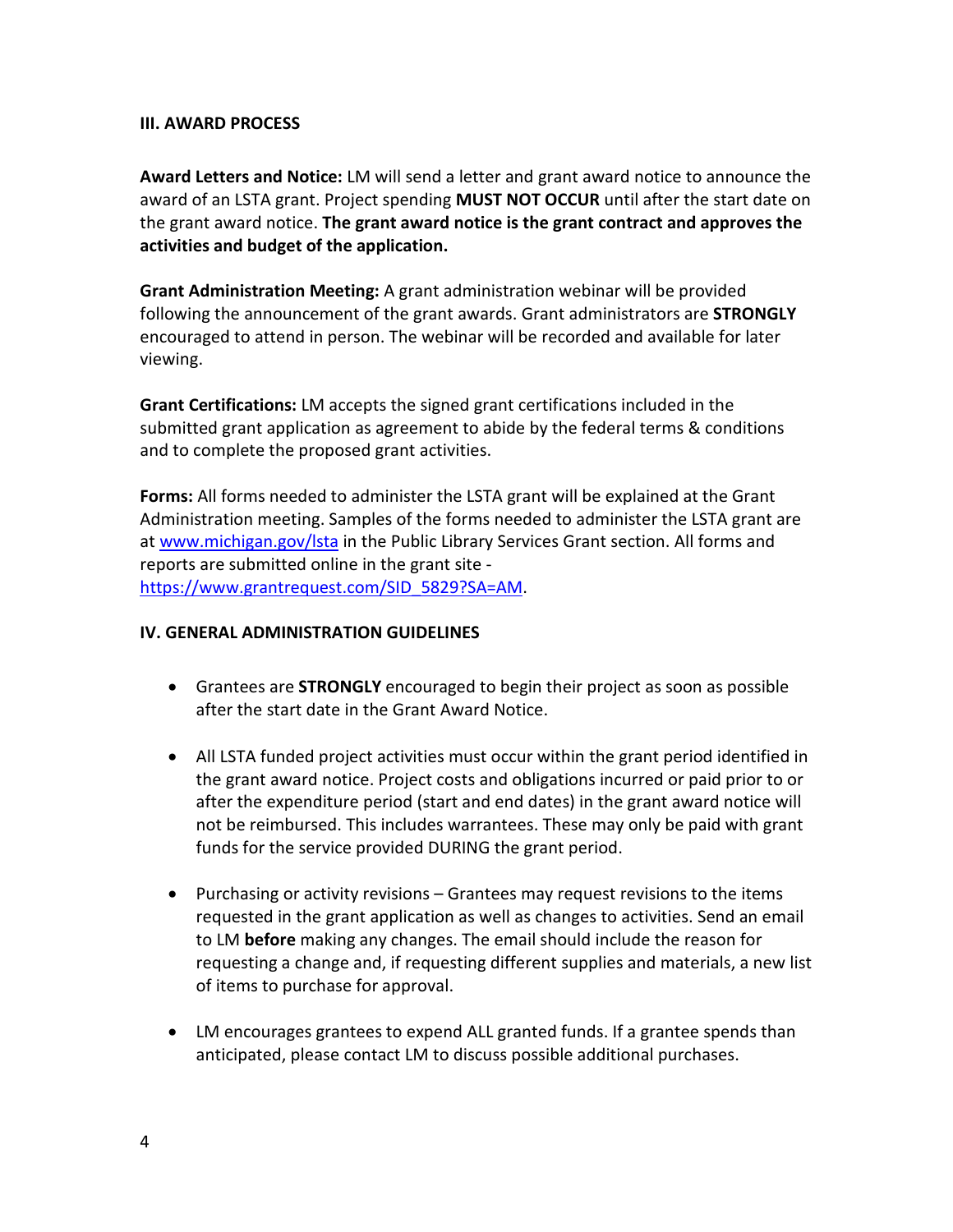## **III. AWARD PROCESS**

**Award Letters and Notice:** LM will send a letter and grant award notice to announce the award of an LSTA grant. Project spending **MUST NOT OCCUR** until after the start date on the grant award notice. **The grant award notice is the grant contract and approves the activities and budget of the application.**

**Grant Administration Meeting:** A grant administration webinar will be provided following the announcement of the grant awards. Grant administrators are **STRONGLY**  encouraged to attend in person. The webinar will be recorded and available for later viewing.

**Grant Certifications:** LM accepts the signed grant certifications included in the submitted grant application as agreement to abide by the federal terms & conditions and to complete the proposed grant activities.

**Forms:** All forms needed to administer the LSTA grant will be explained at the Grant Administration meeting. Samples of the forms needed to administer the LSTA grant are at [www.michigan.gov/lsta](http://www.michigan.gov/lsta) in the Public Library Services Grant section. All forms and reports are submitted online in the grant site [https://www.grantrequest.com/SID\\_5829?SA=AM.](https://www.grantrequest.com/SID_5829?SA=AM)

## **IV. GENERAL ADMINISTRATION GUIDELINES**

- Grantees are **STRONGLY** encouraged to begin their project as soon as possible after the start date in the Grant Award Notice.
- All LSTA funded project activities must occur within the grant period identified in the grant award notice. Project costs and obligations incurred or paid prior to or after the expenditure period (start and end dates) in the grant award notice will not be reimbursed. This includes warrantees. These may only be paid with grant funds for the service provided DURING the grant period.
- Purchasing or activity revisions Grantees may request revisions to the items requested in the grant application as well as changes to activities. Send an email to LM **before** making any changes. The email should include the reason for requesting a change and, if requesting different supplies and materials, a new list of items to purchase for approval.
- LM encourages grantees to expend ALL granted funds. If a grantee spends than anticipated, please contact LM to discuss possible additional purchases.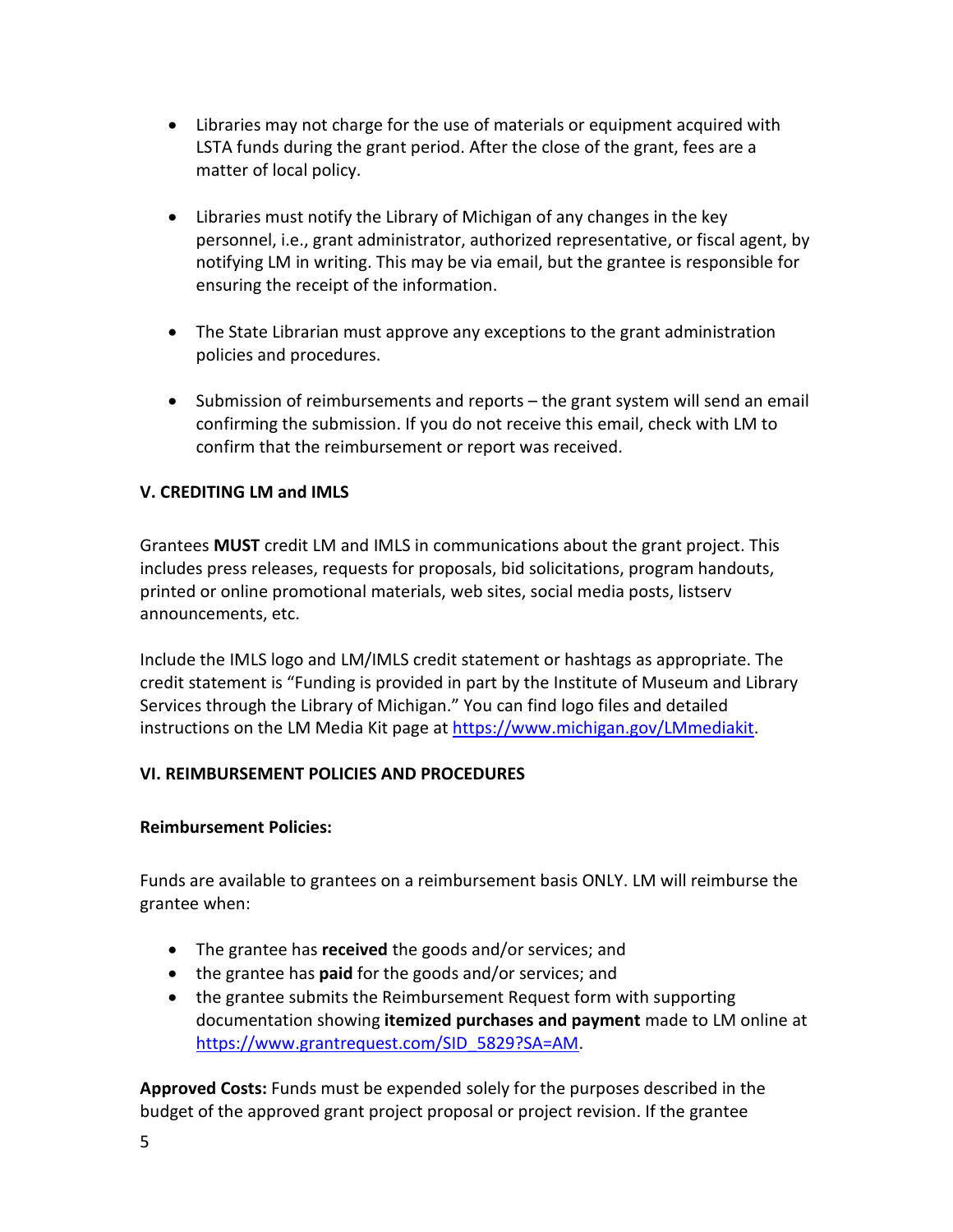- Libraries may not charge for the use of materials or equipment acquired with LSTA funds during the grant period. After the close of the grant, fees are a matter of local policy.
- Libraries must notify the Library of Michigan of any changes in the key personnel, i.e., grant administrator, authorized representative, or fiscal agent, by notifying LM in writing. This may be via email, but the grantee is responsible for ensuring the receipt of the information.
- The State Librarian must approve any exceptions to the grant administration policies and procedures.
- Submission of reimbursements and reports the grant system will send an email confirming the submission. If you do not receive this email, check with LM to confirm that the reimbursement or report was received.

# **V. CREDITING LM and IMLS**

Grantees **MUST** credit LM and IMLS in communications about the grant project. This includes press releases, requests for proposals, bid solicitations, program handouts, printed or online promotional materials, web sites, social media posts, listserv announcements, etc.

Include the IMLS logo and LM/IMLS credit statement or hashtags as appropriate. The credit statement is "Funding is provided in part by the Institute of Museum and Library Services through the Library of Michigan." You can find logo files and detailed instructions on the LM Media Kit page at [https://www.michigan.gov/LMmediakit.](https://gcc02.safelinks.protection.outlook.com/?url=https%3A%2F%2Fwww.michigan.gov%2FLMmediakit&data=04%7C01%7CReishK%40michigan.gov%7C357932ed9c9b49698eed08d8b89d5a67%7Cd5fb7087377742ad966a892ef47225d1%7C0%7C0%7C637462333253105063%7CUnknown%7CTWFpbGZsb3d8eyJWIjoiMC4wLjAwMDAiLCJQIjoiV2luMzIiLCJBTiI6Ik1haWwiLCJXVCI6Mn0%3D%7C1000&sdata=HueDlN7PhGkoIGQSnIOHV286lUgXD6%2Bha0BIUF7ab%2Bw%3D&reserved=0)

# **VI. REIMBURSEMENT POLICIES AND PROCEDURES**

## **Reimbursement Policies:**

Funds are available to grantees on a reimbursement basis ONLY. LM will reimburse the grantee when:

- The grantee has **received** the goods and/or services; and
- the grantee has **paid** for the goods and/or services; and
- the grantee submits the Reimbursement Request form with supporting documentation showing **itemized purchases and payment** made to LM online at [https://www.grantrequest.com/SID\\_5829?SA=AM.](https://www.grantrequest.com/SID_5829?SA=AM)

**Approved Costs:** Funds must be expended solely for the purposes described in the budget of the approved grant project proposal or project revision. If the grantee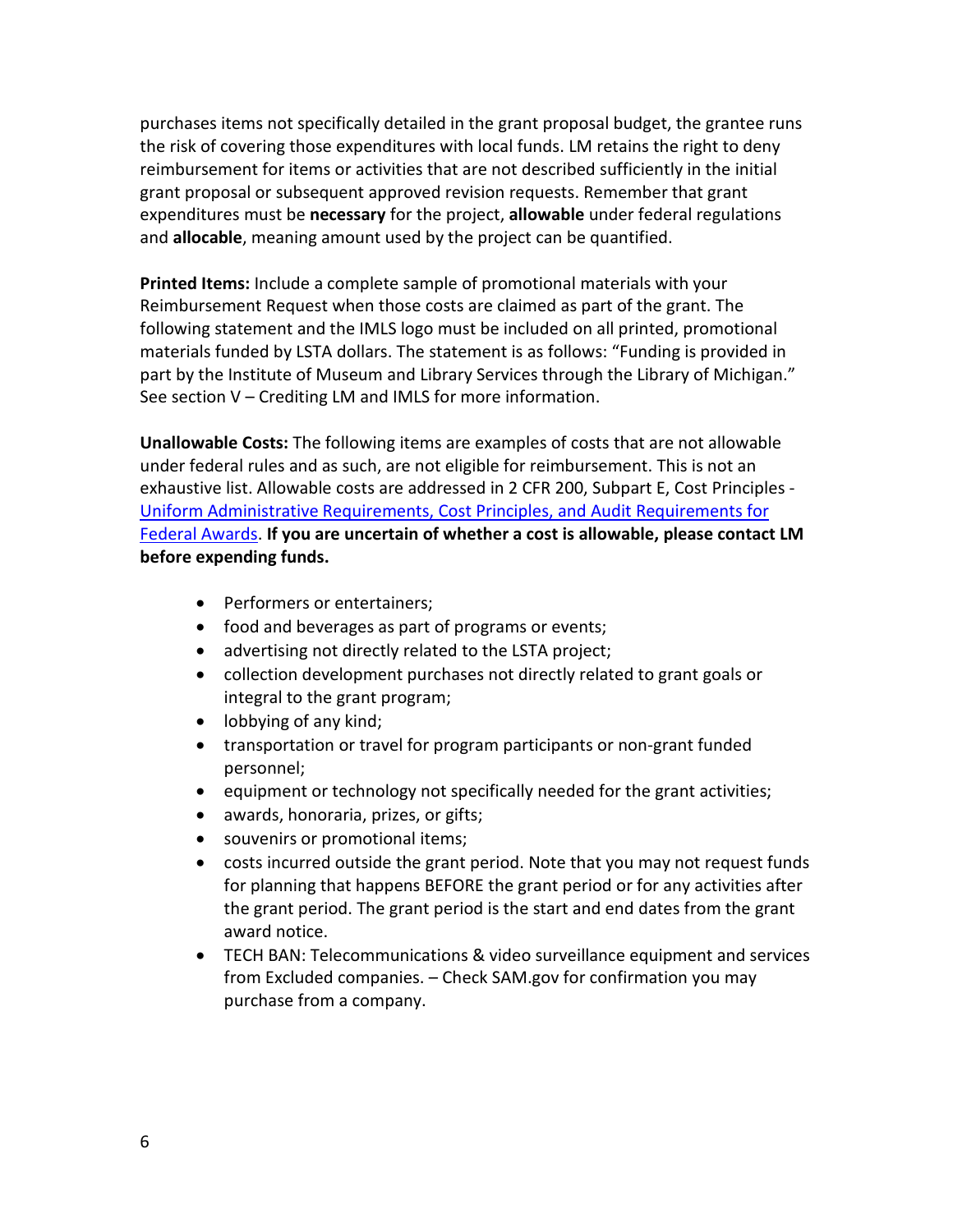purchases items not specifically detailed in the grant proposal budget, the grantee runs the risk of covering those expenditures with local funds. LM retains the right to deny reimbursement for items or activities that are not described sufficiently in the initial grant proposal or subsequent approved revision requests. Remember that grant expenditures must be **necessary** for the project, **allowable** under federal regulations and **allocable**, meaning amount used by the project can be quantified.

**Printed Items:** Include a complete sample of promotional materials with your Reimbursement Request when those costs are claimed as part of the grant. The following statement and the IMLS logo must be included on all printed, promotional materials funded by LSTA dollars. The statement is as follows: "Funding is provided in part by the Institute of Museum and Library Services through the Library of Michigan." See section V – Crediting LM and IMLS for more information.

**Unallowable Costs:** The following items are examples of costs that are not allowable under federal rules and as such, are not eligible for reimbursement. This is not an exhaustive list. Allowable costs are addressed in 2 CFR 200, Subpart E, Cost Principles - [Uniform Administrative Requirements, Cost Principles, and Audit Requirements for](https://www.federalregister.gov/articles/2013/12/26/2013-30465/uniform-administrative-requirements-cost-principles-and-audit-requirements-for-federal-awards#sec-200-33)  [Federal Awards.](https://www.federalregister.gov/articles/2013/12/26/2013-30465/uniform-administrative-requirements-cost-principles-and-audit-requirements-for-federal-awards#sec-200-33) **If you are uncertain of whether a cost is allowable, please contact LM before expending funds.**

- Performers or entertainers;
- food and beverages as part of programs or events;
- advertising not directly related to the LSTA project;
- collection development purchases not directly related to grant goals or integral to the grant program;
- lobbying of any kind;
- transportation or travel for program participants or non-grant funded personnel;
- equipment or technology not specifically needed for the grant activities;
- awards, honoraria, prizes, or gifts;
- souvenirs or promotional items;
- costs incurred outside the grant period. Note that you may not request funds for planning that happens BEFORE the grant period or for any activities after the grant period. The grant period is the start and end dates from the grant award notice.
- TECH BAN: Telecommunications & video surveillance equipment and services from Excluded companies. – Check SAM.gov for confirmation you may purchase from a company.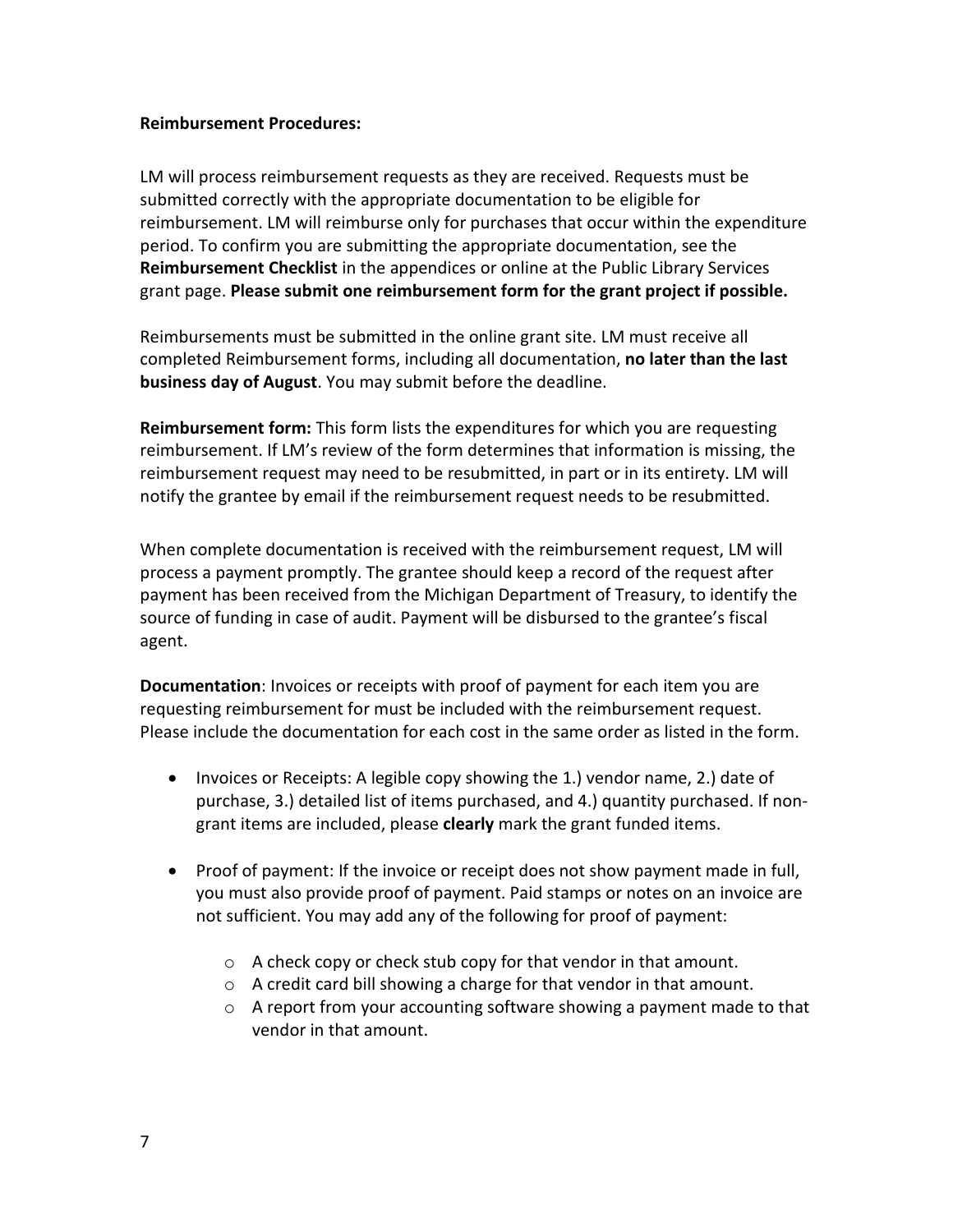## **Reimbursement Procedures:**

LM will process reimbursement requests as they are received. Requests must be submitted correctly with the appropriate documentation to be eligible for reimbursement. LM will reimburse only for purchases that occur within the expenditure period. To confirm you are submitting the appropriate documentation, see the **Reimbursement Checklist** in the appendices or online at the Public Library Services grant page. **Please submit one reimbursement form for the grant project if possible.**

Reimbursements must be submitted in the online grant site. LM must receive all completed Reimbursement forms, including all documentation, **no later than the last business day of August**. You may submit before the deadline.

**Reimbursement form:** This form lists the expenditures for which you are requesting reimbursement. If LM's review of the form determines that information is missing, the reimbursement request may need to be resubmitted, in part or in its entirety. LM will notify the grantee by email if the reimbursement request needs to be resubmitted.

When complete documentation is received with the reimbursement request, LM will process a payment promptly. The grantee should keep a record of the request after payment has been received from the Michigan Department of Treasury, to identify the source of funding in case of audit. Payment will be disbursed to the grantee's fiscal agent.

**Documentation**: Invoices or receipts with proof of payment for each item you are requesting reimbursement for must be included with the reimbursement request. Please include the documentation for each cost in the same order as listed in the form.

- Invoices or Receipts: A legible copy showing the 1.) vendor name, 2.) date of purchase, 3.) detailed list of items purchased, and 4.) quantity purchased. If nongrant items are included, please **clearly** mark the grant funded items.
- Proof of payment: If the invoice or receipt does not show payment made in full, you must also provide proof of payment. Paid stamps or notes on an invoice are not sufficient. You may add any of the following for proof of payment:
	- o A check copy or check stub copy for that vendor in that amount.
	- o A credit card bill showing a charge for that vendor in that amount.
	- $\circ$  A report from your accounting software showing a payment made to that vendor in that amount.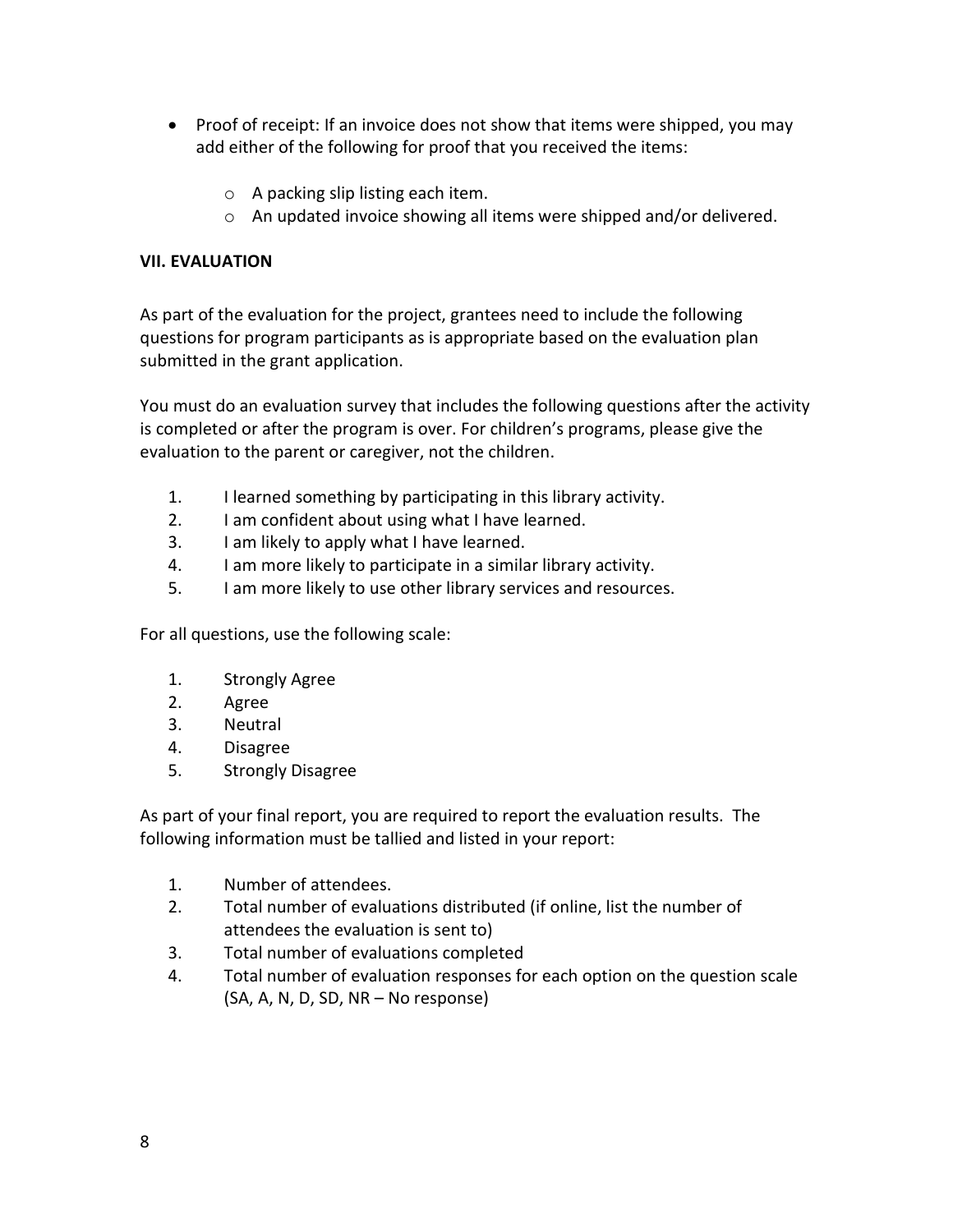- Proof of receipt: If an invoice does not show that items were shipped, you may add either of the following for proof that you received the items:
	- $\circ$  A packing slip listing each item.
	- o An updated invoice showing all items were shipped and/or delivered.

# **VII. EVALUATION**

As part of the evaluation for the project, grantees need to include the following questions for program participants as is appropriate based on the evaluation plan submitted in the grant application.

You must do an evaluation survey that includes the following questions after the activity is completed or after the program is over. For children's programs, please give the evaluation to the parent or caregiver, not the children.

- 1. I learned something by participating in this library activity.
- 2. I am confident about using what I have learned.
- 3. I am likely to apply what I have learned.
- 4. I am more likely to participate in a similar library activity.
- 5. I am more likely to use other library services and resources.

For all questions, use the following scale:

- 1. Strongly Agree
- 2. Agree
- 3. Neutral
- 4. Disagree
- 5. Strongly Disagree

As part of your final report, you are required to report the evaluation results. The following information must be tallied and listed in your report:

- 1. Number of attendees.
- 2. Total number of evaluations distributed (if online, list the number of attendees the evaluation is sent to)
- 3. Total number of evaluations completed
- 4. Total number of evaluation responses for each option on the question scale (SA, A, N, D, SD, NR – No response)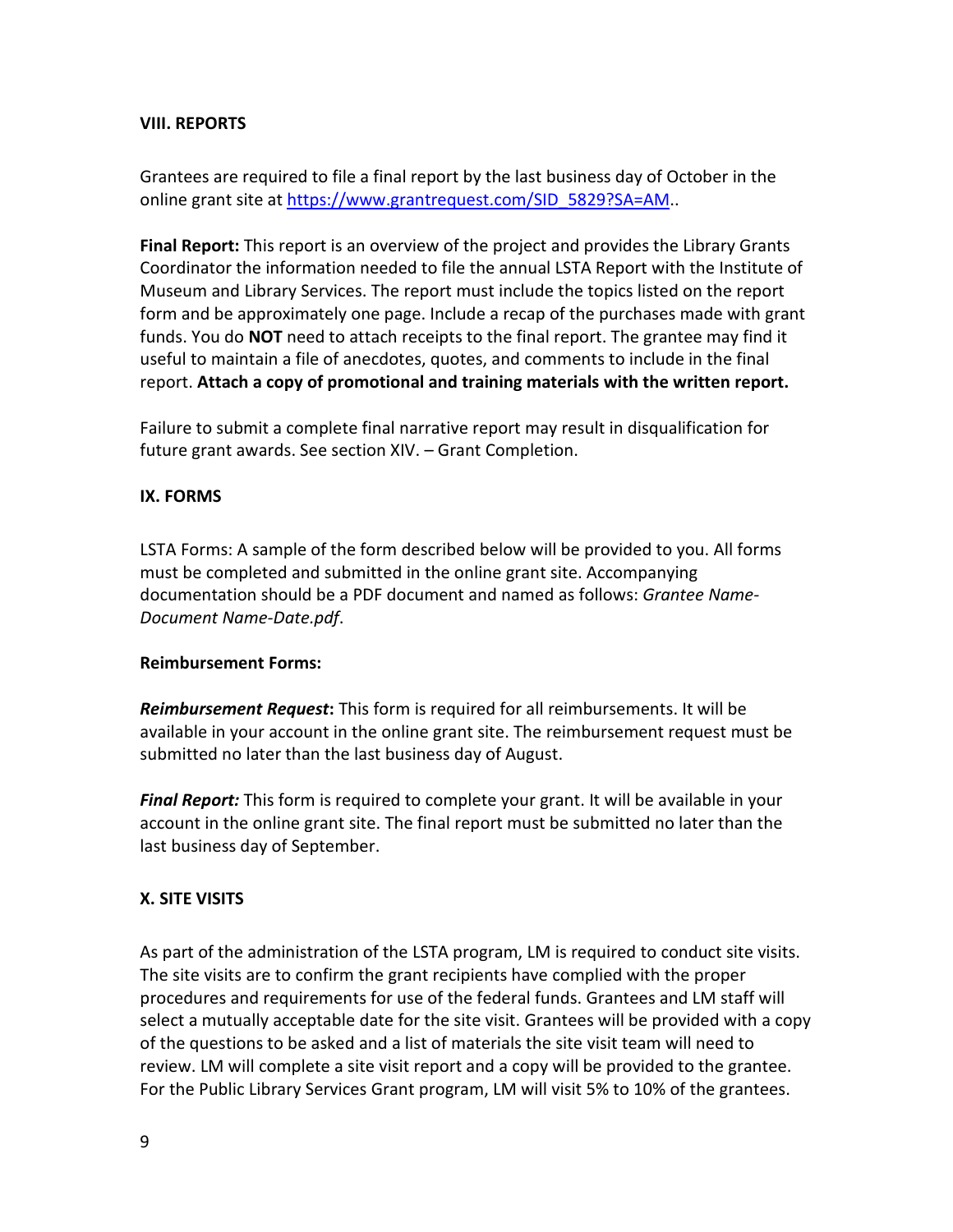## **VIII. REPORTS**

Grantees are required to file a final report by the last business day of October in the online grant site at [https://www.grantrequest.com/SID\\_5829?SA=AM.](https://www.grantrequest.com/SID_5829?SA=AM).

**Final Report:** This report is an overview of the project and provides the Library Grants Coordinator the information needed to file the annual LSTA Report with the Institute of Museum and Library Services. The report must include the topics listed on the report form and be approximately one page. Include a recap of the purchases made with grant funds. You do **NOT** need to attach receipts to the final report. The grantee may find it useful to maintain a file of anecdotes, quotes, and comments to include in the final report. **Attach a copy of promotional and training materials with the written report.**

Failure to submit a complete final narrative report may result in disqualification for future grant awards. See section XIV. – Grant Completion.

#### **IX. FORMS**

LSTA Forms: A sample of the form described below will be provided to you. All forms must be completed and submitted in the online grant site. Accompanying documentation should be a PDF document and named as follows: *Grantee Name-Document Name-Date.pdf*.

#### **Reimbursement Forms:**

*Reimbursement Request***:** This form is required for all reimbursements. It will be available in your account in the online grant site. The reimbursement request must be submitted no later than the last business day of August.

*Final Report:* This form is required to complete your grant. It will be available in your account in the online grant site. The final report must be submitted no later than the last business day of September.

## **X. SITE VISITS**

As part of the administration of the LSTA program, LM is required to conduct site visits. The site visits are to confirm the grant recipients have complied with the proper procedures and requirements for use of the federal funds. Grantees and LM staff will select a mutually acceptable date for the site visit. Grantees will be provided with a copy of the questions to be asked and a list of materials the site visit team will need to review. LM will complete a site visit report and a copy will be provided to the grantee. For the Public Library Services Grant program, LM will visit 5% to 10% of the grantees.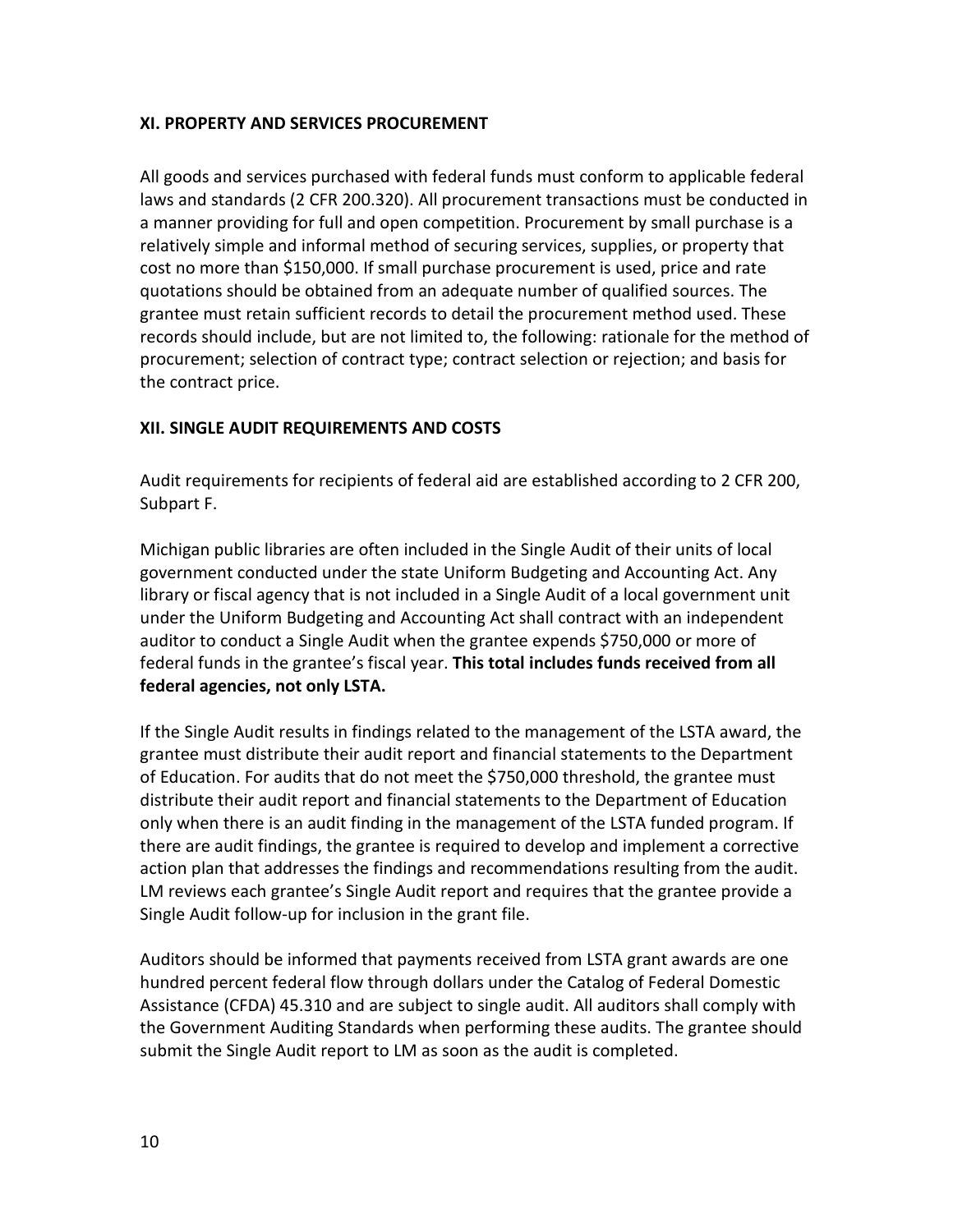# **XI. PROPERTY AND SERVICES PROCUREMENT**

All goods and services purchased with federal funds must conform to applicable federal laws and standards (2 CFR 200.320). All procurement transactions must be conducted in a manner providing for full and open competition. Procurement by small purchase is a relatively simple and informal method of securing services, supplies, or property that cost no more than \$150,000. If small purchase procurement is used, price and rate quotations should be obtained from an adequate number of qualified sources. The grantee must retain sufficient records to detail the procurement method used. These records should include, but are not limited to, the following: rationale for the method of procurement; selection of contract type; contract selection or rejection; and basis for the contract price.

# **XII. SINGLE AUDIT REQUIREMENTS AND COSTS**

Audit requirements for recipients of federal aid are established according to 2 CFR 200, Subpart F.

Michigan public libraries are often included in the Single Audit of their units of local government conducted under the state Uniform Budgeting and Accounting Act. Any library or fiscal agency that is not included in a Single Audit of a local government unit under the Uniform Budgeting and Accounting Act shall contract with an independent auditor to conduct a Single Audit when the grantee expends \$750,000 or more of federal funds in the grantee's fiscal year. **This total includes funds received from all federal agencies, not only LSTA.** 

If the Single Audit results in findings related to the management of the LSTA award, the grantee must distribute their audit report and financial statements to the Department of Education. For audits that do not meet the \$750,000 threshold, the grantee must distribute their audit report and financial statements to the Department of Education only when there is an audit finding in the management of the LSTA funded program. If there are audit findings, the grantee is required to develop and implement a corrective action plan that addresses the findings and recommendations resulting from the audit. LM reviews each grantee's Single Audit report and requires that the grantee provide a Single Audit follow-up for inclusion in the grant file.

Auditors should be informed that payments received from LSTA grant awards are one hundred percent federal flow through dollars under the Catalog of Federal Domestic Assistance (CFDA) 45.310 and are subject to single audit. All auditors shall comply with the Government Auditing Standards when performing these audits. The grantee should submit the Single Audit report to LM as soon as the audit is completed.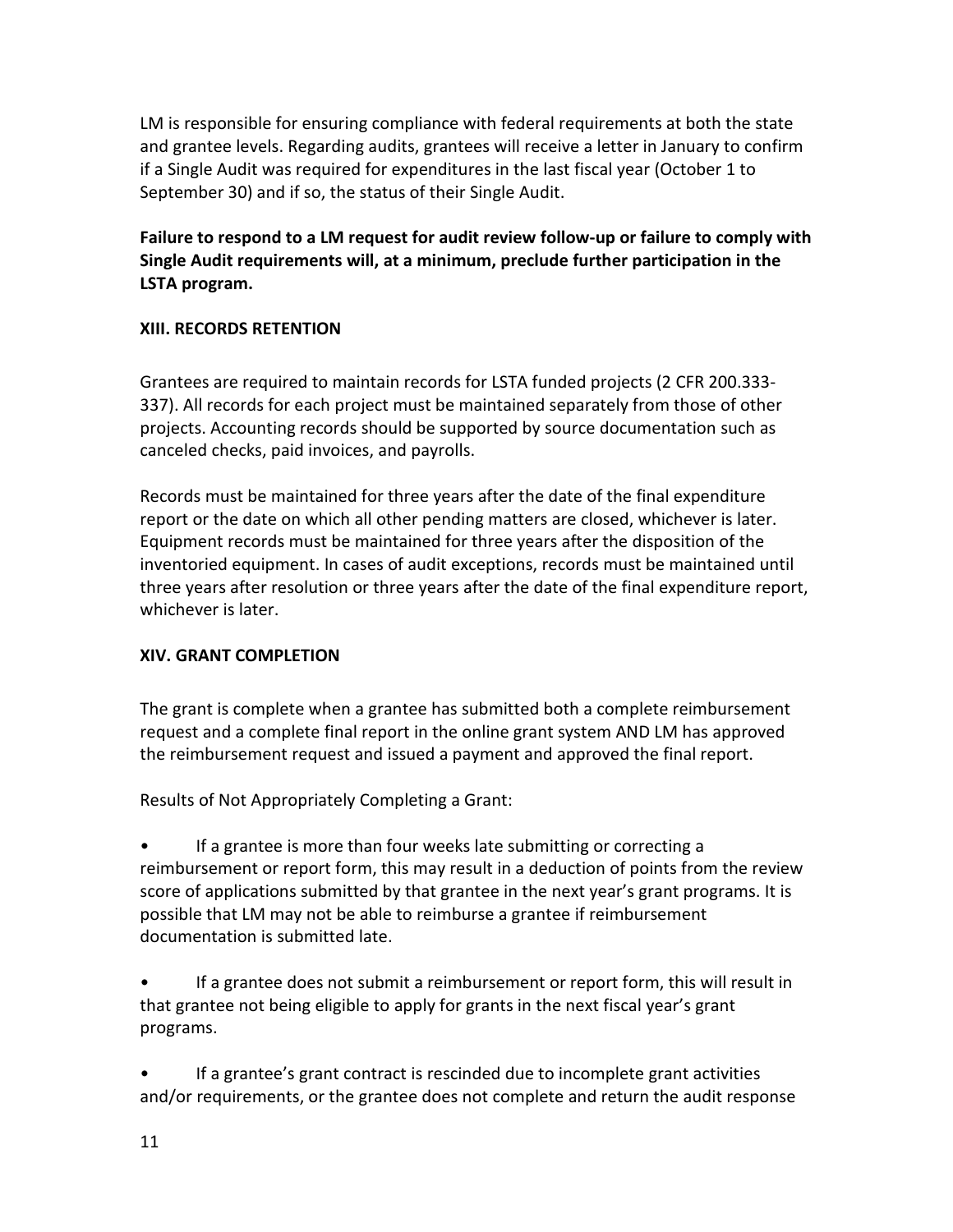LM is responsible for ensuring compliance with federal requirements at both the state and grantee levels. Regarding audits, grantees will receive a letter in January to confirm if a Single Audit was required for expenditures in the last fiscal year (October 1 to September 30) and if so, the status of their Single Audit.

**Failure to respond to a LM request for audit review follow-up or failure to comply with Single Audit requirements will, at a minimum, preclude further participation in the LSTA program.**

# **XIII. RECORDS RETENTION**

Grantees are required to maintain records for LSTA funded projects (2 CFR 200.333- 337). All records for each project must be maintained separately from those of other projects. Accounting records should be supported by source documentation such as canceled checks, paid invoices, and payrolls.

Records must be maintained for three years after the date of the final expenditure report or the date on which all other pending matters are closed, whichever is later. Equipment records must be maintained for three years after the disposition of the inventoried equipment. In cases of audit exceptions, records must be maintained until three years after resolution or three years after the date of the final expenditure report, whichever is later.

## **XIV. GRANT COMPLETION**

The grant is complete when a grantee has submitted both a complete reimbursement request and a complete final report in the online grant system AND LM has approved the reimbursement request and issued a payment and approved the final report.

Results of Not Appropriately Completing a Grant:

If a grantee is more than four weeks late submitting or correcting a reimbursement or report form, this may result in a deduction of points from the review score of applications submitted by that grantee in the next year's grant programs. It is possible that LM may not be able to reimburse a grantee if reimbursement documentation is submitted late.

If a grantee does not submit a reimbursement or report form, this will result in that grantee not being eligible to apply for grants in the next fiscal year's grant programs.

If a grantee's grant contract is rescinded due to incomplete grant activities and/or requirements, or the grantee does not complete and return the audit response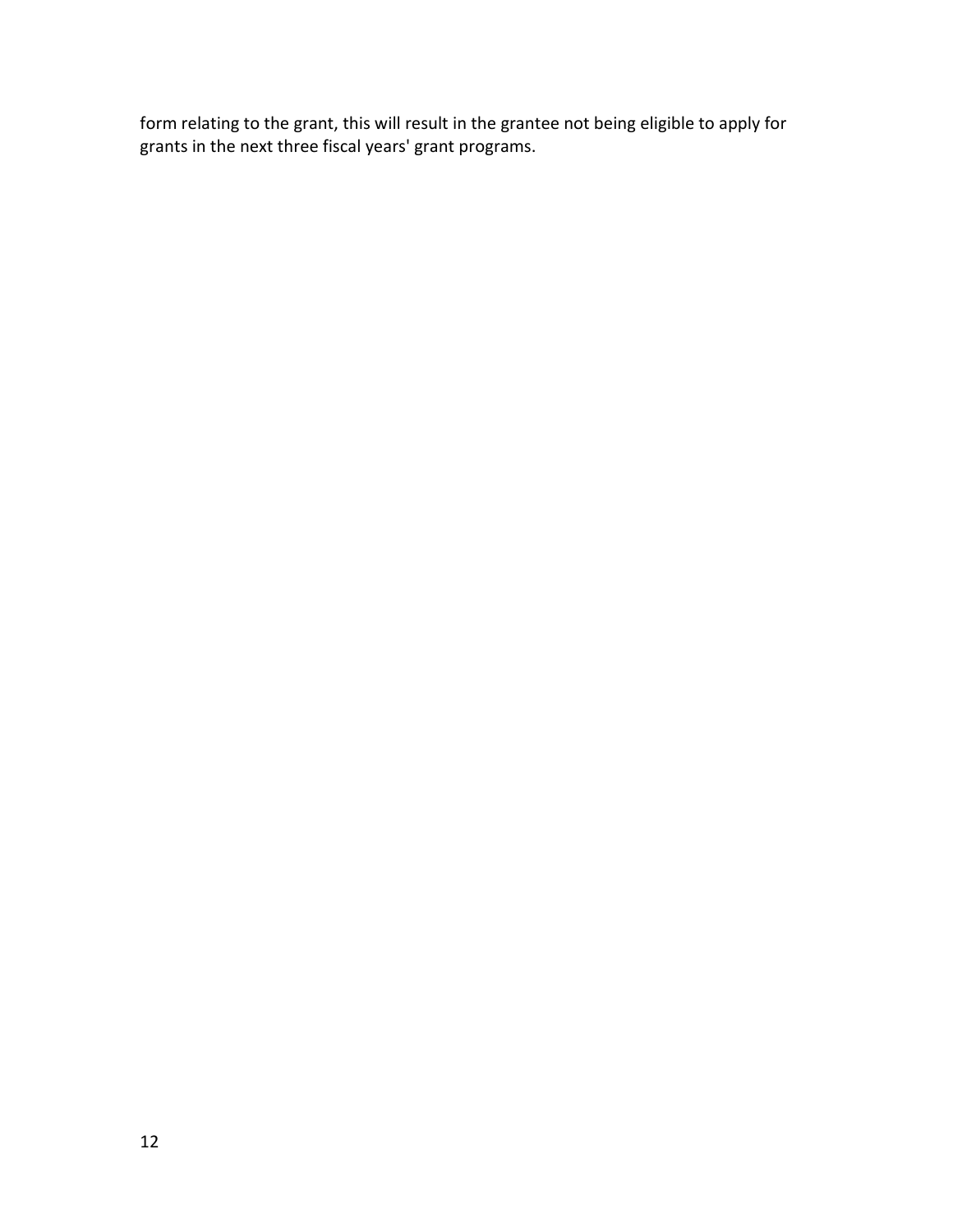form relating to the grant, this will result in the grantee not being eligible to apply for grants in the next three fiscal years' grant programs.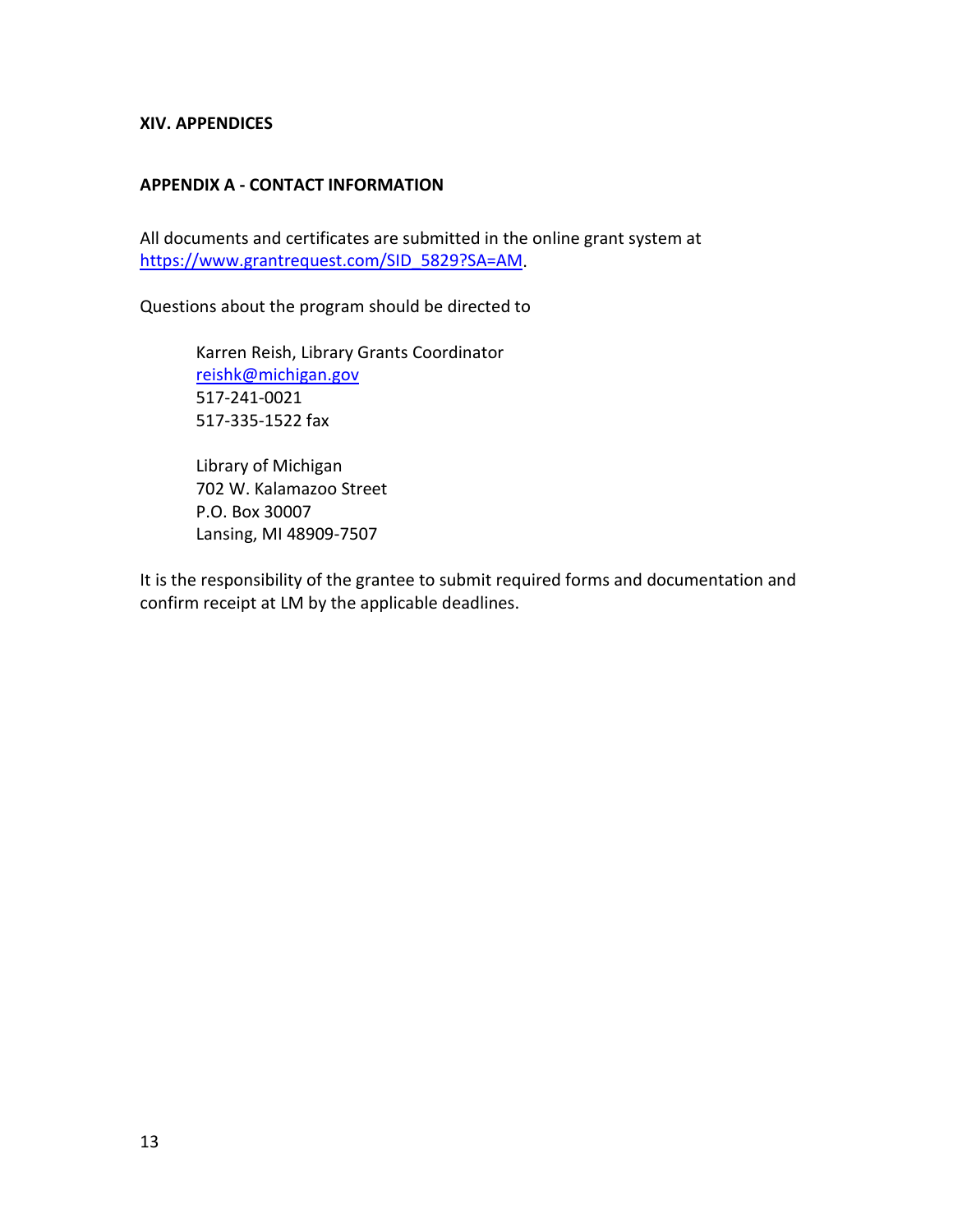#### **XIV. APPENDICES**

#### **APPENDIX A - CONTACT INFORMATION**

All documents and certificates are submitted in the online grant system at [https://www.grantrequest.com/SID\\_5829?SA=AM.](https://www.grantrequest.com/SID_5829?SA=AM)

Questions about the program should be directed to

Karren Reish, Library Grants Coordinator [reishk@michigan.gov](mailto:reishk@michigan.gov) 517-241-0021 517-335-1522 fax

Library of Michigan 702 W. Kalamazoo Street P.O. Box 30007 Lansing, MI 48909-7507

It is the responsibility of the grantee to submit required forms and documentation and confirm receipt at LM by the applicable deadlines.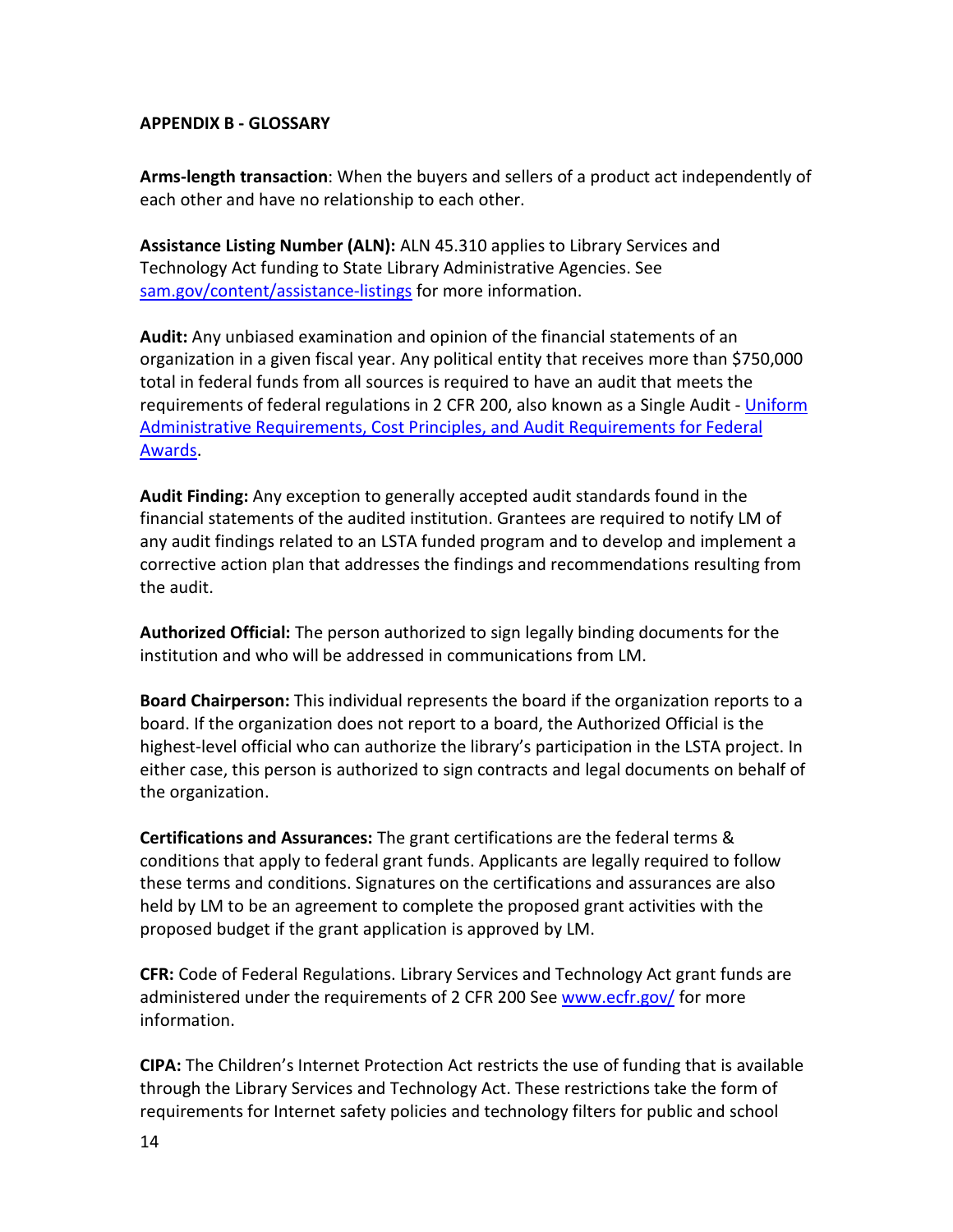## **APPENDIX B - GLOSSARY**

**Arms-length transaction**: When the buyers and sellers of a product act independently of each other and have no relationship to each other.

**Assistance Listing Number (ALN):** ALN 45.310 applies to Library Services and Technology Act funding to State Library Administrative Agencies. See [sam.gov/content/assistance-listings](https://sam.gov/content/assistance-listings) for more information.

**Audit:** Any unbiased examination and opinion of the financial statements of an organization in a given fiscal year. Any political entity that receives more than \$750,000 total in federal funds from all sources is required to have an audit that meets the requirements of federal regulations in 2 CFR 200, also known as a Single Audit - [Uniform](https://www.federalregister.gov/articles/2013/12/26/2013-30465/uniform-administrative-requirements-cost-principles-and-audit-requirements-for-federal-awards#sec-200-33)  [Administrative Requirements, Cost Principles, and Audit Requirements for Federal](https://www.federalregister.gov/articles/2013/12/26/2013-30465/uniform-administrative-requirements-cost-principles-and-audit-requirements-for-federal-awards#sec-200-33)  [Awards.](https://www.federalregister.gov/articles/2013/12/26/2013-30465/uniform-administrative-requirements-cost-principles-and-audit-requirements-for-federal-awards#sec-200-33)

**Audit Finding:** Any exception to generally accepted audit standards found in the financial statements of the audited institution. Grantees are required to notify LM of any audit findings related to an LSTA funded program and to develop and implement a corrective action plan that addresses the findings and recommendations resulting from the audit.

**Authorized Official:** The person authorized to sign legally binding documents for the institution and who will be addressed in communications from LM.

**Board Chairperson:** This individual represents the board if the organization reports to a board. If the organization does not report to a board, the Authorized Official is the highest-level official who can authorize the library's participation in the LSTA project. In either case, this person is authorized to sign contracts and legal documents on behalf of the organization.

**Certifications and Assurances:** The grant certifications are the federal terms & conditions that apply to federal grant funds. Applicants are legally required to follow these terms and conditions. Signatures on the certifications and assurances are also held by LM to be an agreement to complete the proposed grant activities with the proposed budget if the grant application is approved by LM.

**CFR:** Code of Federal Regulations. Library Services and Technology Act grant funds are administered under the requirements of 2 CFR 200 See [www.ecfr.gov/](http://www.ecfr.gov/) for more information.

**CIPA:** The Children's Internet Protection Act restricts the use of funding that is available through the Library Services and Technology Act. These restrictions take the form of requirements for Internet safety policies and technology filters for public and school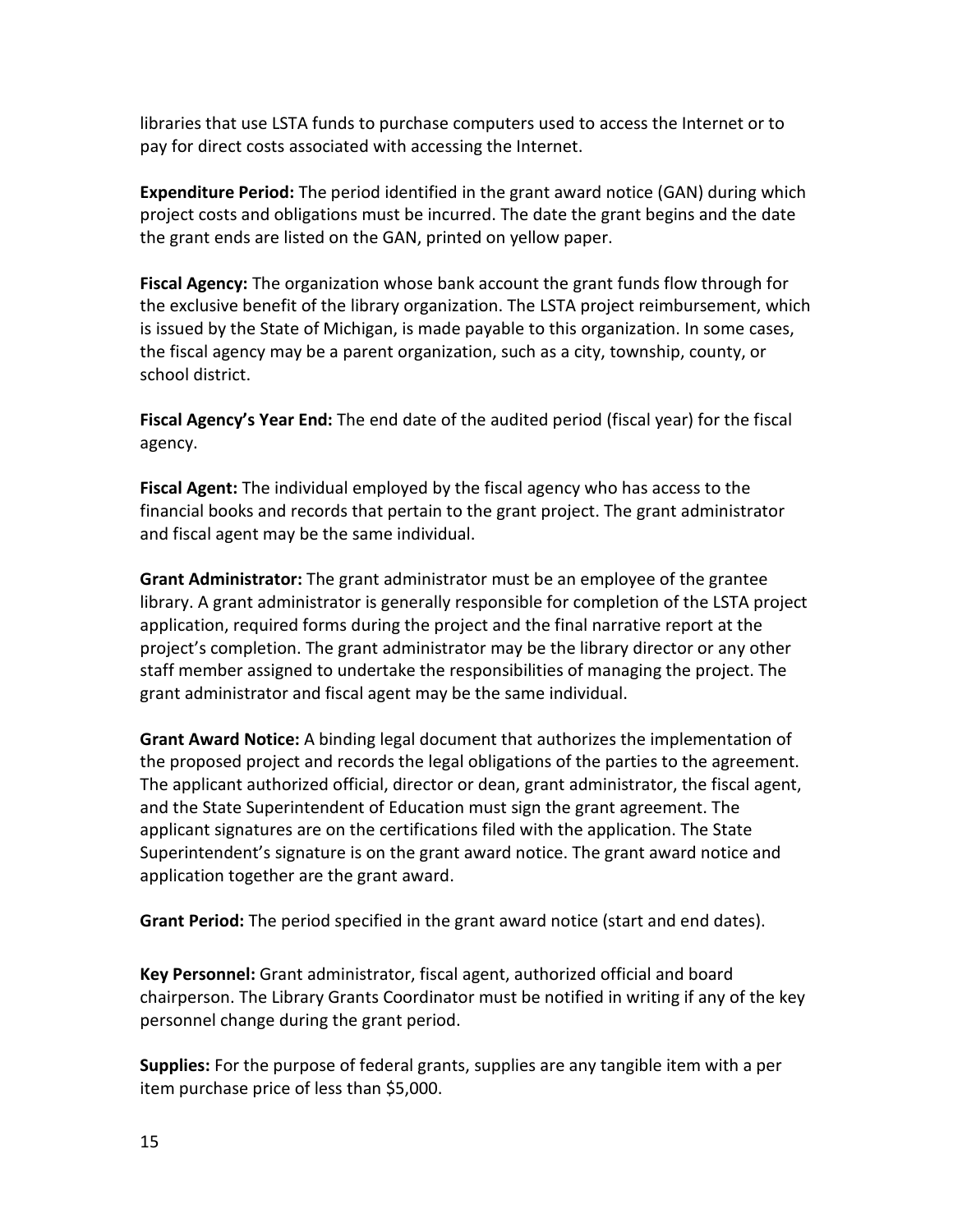libraries that use LSTA funds to purchase computers used to access the Internet or to pay for direct costs associated with accessing the Internet.

**Expenditure Period:** The period identified in the grant award notice (GAN) during which project costs and obligations must be incurred. The date the grant begins and the date the grant ends are listed on the GAN, printed on yellow paper.

**Fiscal Agency:** The organization whose bank account the grant funds flow through for the exclusive benefit of the library organization. The LSTA project reimbursement, which is issued by the State of Michigan, is made payable to this organization. In some cases, the fiscal agency may be a parent organization, such as a city, township, county, or school district.

**Fiscal Agency's Year End:** The end date of the audited period (fiscal year) for the fiscal agency.

**Fiscal Agent:** The individual employed by the fiscal agency who has access to the financial books and records that pertain to the grant project. The grant administrator and fiscal agent may be the same individual.

**Grant Administrator:** The grant administrator must be an employee of the grantee library. A grant administrator is generally responsible for completion of the LSTA project application, required forms during the project and the final narrative report at the project's completion. The grant administrator may be the library director or any other staff member assigned to undertake the responsibilities of managing the project. The grant administrator and fiscal agent may be the same individual.

**Grant Award Notice:** A binding legal document that authorizes the implementation of the proposed project and records the legal obligations of the parties to the agreement. The applicant authorized official, director or dean, grant administrator, the fiscal agent, and the State Superintendent of Education must sign the grant agreement. The applicant signatures are on the certifications filed with the application. The State Superintendent's signature is on the grant award notice. The grant award notice and application together are the grant award.

**Grant Period:** The period specified in the grant award notice (start and end dates).

**Key Personnel:** Grant administrator, fiscal agent, authorized official and board chairperson. The Library Grants Coordinator must be notified in writing if any of the key personnel change during the grant period.

**Supplies:** For the purpose of federal grants, supplies are any tangible item with a per item purchase price of less than \$5,000.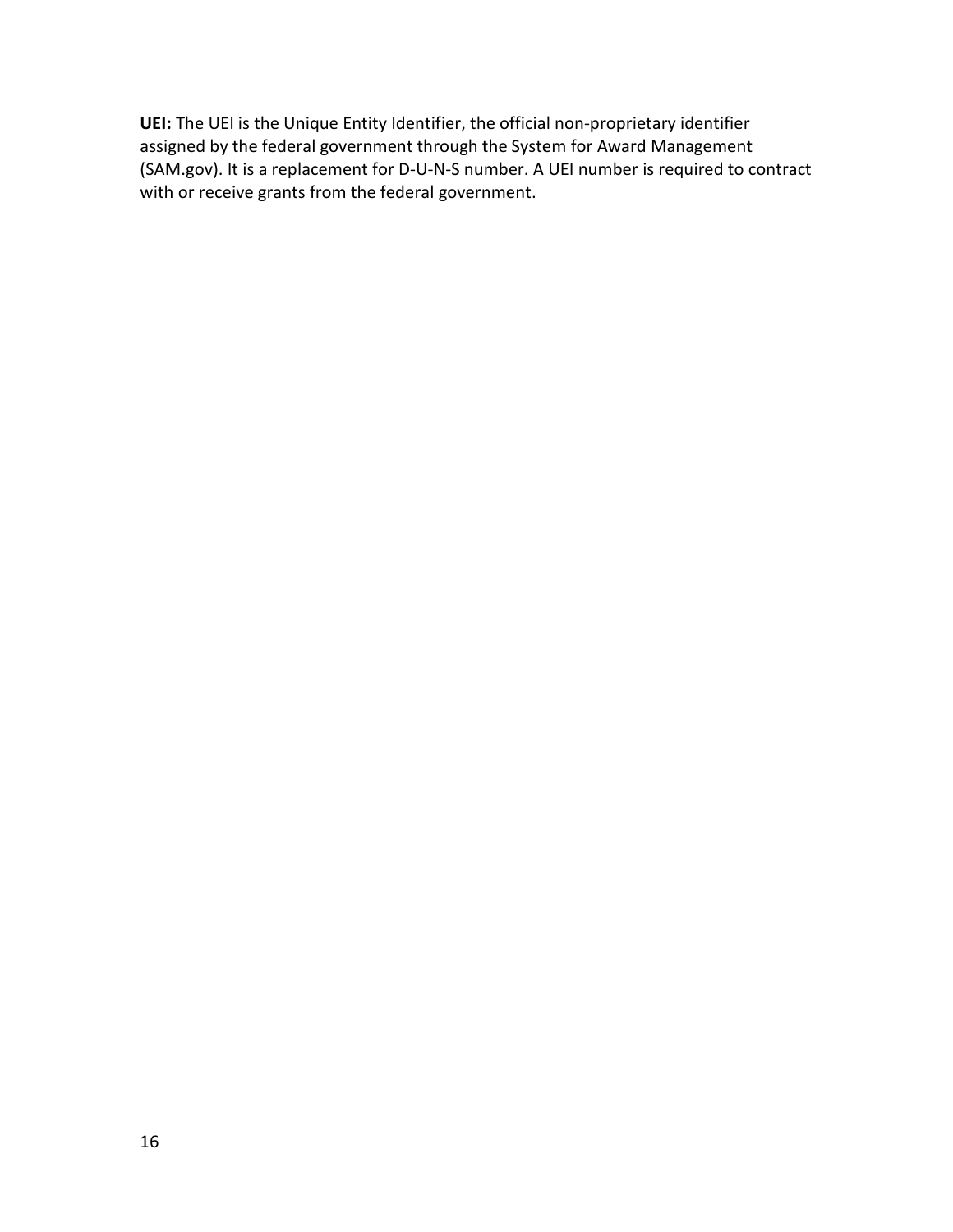**UEI:** The UEI is the Unique Entity Identifier, the official non-proprietary identifier assigned by the federal government through the System for Award Management (SAM.gov). It is a replacement for D-U-N-S number. A UEI number is required to contract with or receive grants from the federal government.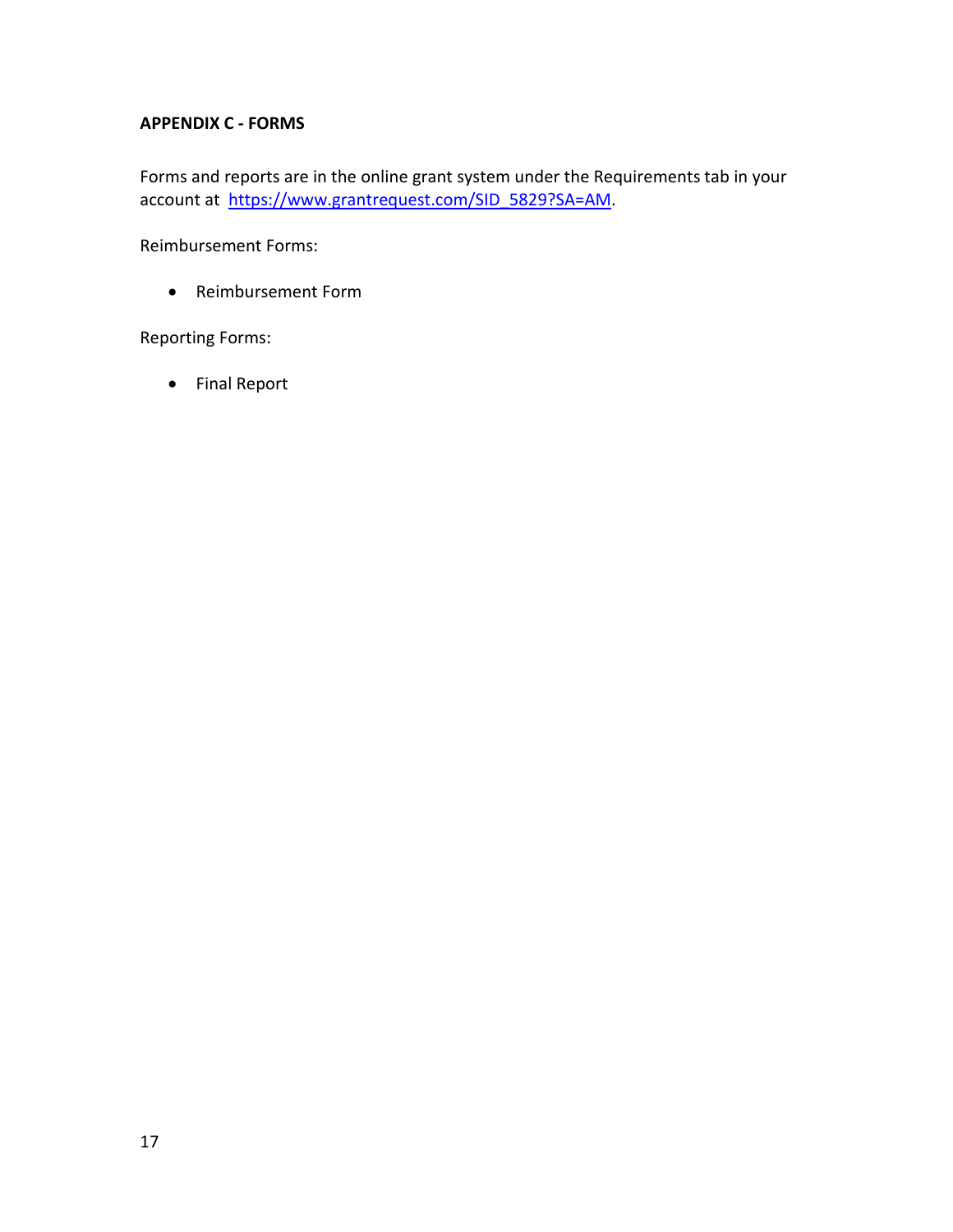# **APPENDIX C - FORMS**

Forms and reports are in the online grant system under the Requirements tab in your account at [https://www.grantrequest.com/SID\\_5829?SA=AM.](https://www.grantrequest.com/SID_5829?SA=AM)

Reimbursement Forms:

• Reimbursement Form

Reporting Forms:

• Final Report